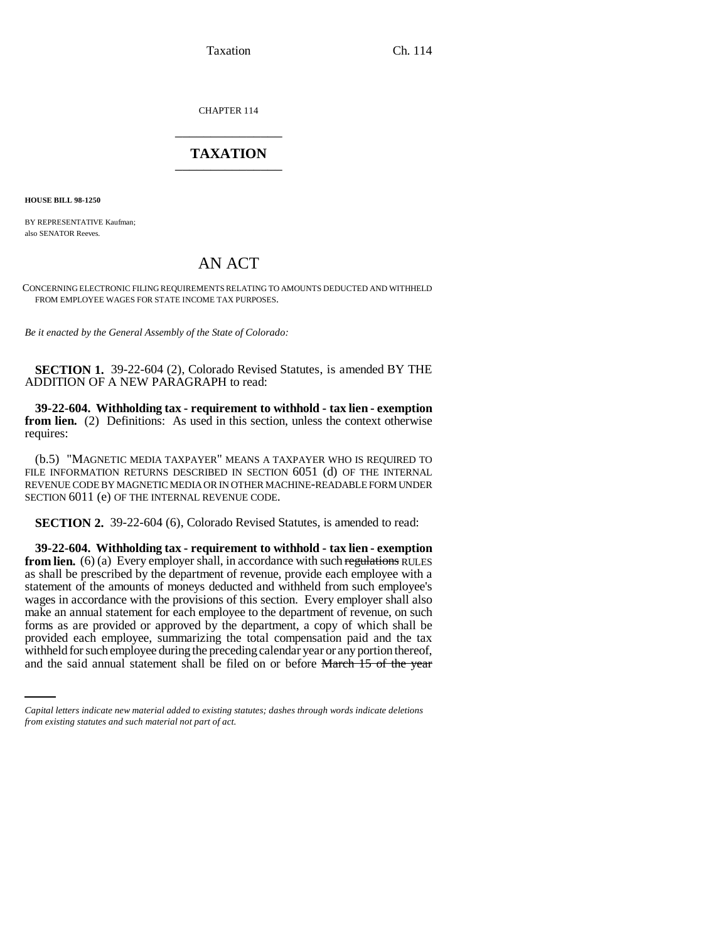Taxation Ch. 114

CHAPTER 114 \_\_\_\_\_\_\_\_\_\_\_\_\_\_\_

## **TAXATION** \_\_\_\_\_\_\_\_\_\_\_\_\_\_\_

**HOUSE BILL 98-1250**

BY REPRESENTATIVE Kaufman; also SENATOR Reeves.

## AN ACT

CONCERNING ELECTRONIC FILING REQUIREMENTS RELATING TO AMOUNTS DEDUCTED AND WITHHELD FROM EMPLOYEE WAGES FOR STATE INCOME TAX PURPOSES.

*Be it enacted by the General Assembly of the State of Colorado:*

**SECTION 1.** 39-22-604 (2), Colorado Revised Statutes, is amended BY THE ADDITION OF A NEW PARAGRAPH to read:

**39-22-604. Withholding tax - requirement to withhold - tax lien - exemption from lien.** (2) Definitions: As used in this section, unless the context otherwise requires:

(b.5) "MAGNETIC MEDIA TAXPAYER" MEANS A TAXPAYER WHO IS REQUIRED TO FILE INFORMATION RETURNS DESCRIBED IN SECTION 6051 (d) OF THE INTERNAL REVENUE CODE BY MAGNETIC MEDIA OR IN OTHER MACHINE-READABLE FORM UNDER SECTION 6011 (e) OF THE INTERNAL REVENUE CODE.

**SECTION 2.** 39-22-604 (6), Colorado Revised Statutes, is amended to read:

provided each employee, summarizing the total compensation paid and the tax **39-22-604. Withholding tax - requirement to withhold - tax lien - exemption from lien.** (6) (a) Every employer shall, in accordance with such regulations RULES as shall be prescribed by the department of revenue, provide each employee with a statement of the amounts of moneys deducted and withheld from such employee's wages in accordance with the provisions of this section. Every employer shall also make an annual statement for each employee to the department of revenue, on such forms as are provided or approved by the department, a copy of which shall be withheld for such employee during the preceding calendar year or any portion thereof, and the said annual statement shall be filed on or before March 15 of the year

*Capital letters indicate new material added to existing statutes; dashes through words indicate deletions from existing statutes and such material not part of act.*